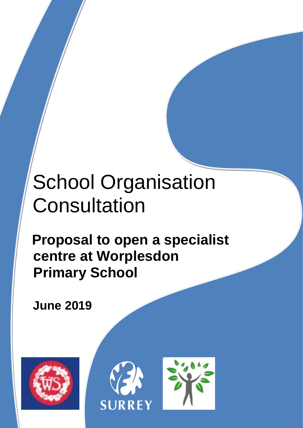# School Organisation **Consultation**

# **Proposal to open a specialist centre at Worplesdon Primary School**

**June 2019**



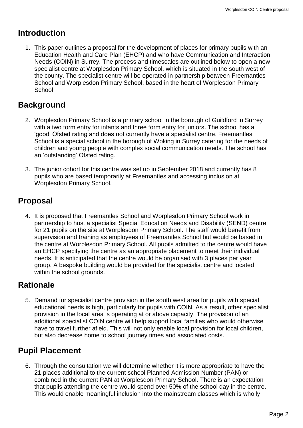#### **Introduction**

1. This paper outlines a proposal for the development of places for primary pupils with an Education Health and Care Plan (EHCP) and who have Communication and Interaction Needs (COIN) in Surrey. The process and timescales are outlined below to open a new specialist centre at Worplesdon Primary School, which is situated in the south west of the county. The specialist centre will be operated in partnership between Freemantles School and Worplesdon Primary School, based in the heart of Worplesdon Primary School.

# **Background**

- 2. Worplesdon Primary School is a primary school in the borough of Guildford in Surrey with a two form entry for infants and three form entry for juniors. The school has a 'good' Ofsted rating and does not currently have a specialist centre. Freemantles School is a special school in the borough of Woking in Surrey catering for the needs of children and young people with complex social communication needs. The school has an 'outstanding' Ofsted rating.
- 3. The junior cohort for this centre was set up in September 2018 and currently has 8 pupils who are based temporarily at Freemantles and accessing inclusion at Worplesdon Primary School.

# **Proposal**

4. It is proposed that Freemantles School and Worplesdon Primary School work in partnership to host a specialist Special Education Needs and Disability (SEND) centre for 21 pupils on the site at Worplesdon Primary School. The staff would benefit from supervision and training as employees of Freemantles School but would be based in the centre at Worplesdon Primary School. All pupils admitted to the centre would have an EHCP specifying the centre as an appropriate placement to meet their individual needs. It is anticipated that the centre would be organised with 3 places per year group. A bespoke building would be provided for the specialist centre and located within the school grounds.

# **Rationale**

5. Demand for specialist centre provision in the south west area for pupils with special educational needs is high, particularly for pupils with COIN. As a result, other specialist provision in the local area is operating at or above capacity. The provision of an additional specialist COIN centre will help support local families who would otherwise have to travel further afield. This will not only enable local provision for local children, but also decrease home to school journey times and associated costs.

# **Pupil Placement**

6. Through the consultation we will determine whether it is more appropriate to have the 21 places additional to the current school Planned Admission Number (PAN) or combined in the current PAN at Worplesdon Primary School. There is an expectation that pupils attending the centre would spend over 50% of the school day in the centre. This would enable meaningful inclusion into the mainstream classes which is wholly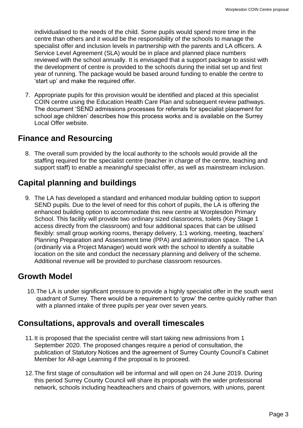individualised to the needs of the child. Some pupils would spend more time in the centre than others and it would be the responsibility of the schools to manage the specialist offer and inclusion levels in partnership with the parents and LA officers. A Service Level Agreement (SLA) would be in place and planned place numbers reviewed with the school annually. It is envisaged that a support package to assist with the development of centre is provided to the schools during the initial set up and first year of running. The package would be based around funding to enable the centre to 'start up' and make the required offer.

7. Appropriate pupils for this provision would be identified and placed at this specialist COIN centre using the Education Health Care Plan and subsequent review pathways. The document 'SEND admissions processes for referrals for specialist placement for school age children' describes how this process works and is available on the Surrey Local Offer website.

#### **Finance and Resourcing**

8. The overall sum provided by the local authority to the schools would provide all the staffing required for the specialist centre (teacher in charge of the centre, teaching and support staff) to enable a meaningful specialist offer, as well as mainstream inclusion.

# **Capital planning and buildings**

9. The LA has developed a standard and enhanced modular building option to support SEND pupils. Due to the level of need for this cohort of pupils, the LA is offering the enhanced building option to accommodate this new centre at Worplesdon Primary School. This facility will provide two ordinary sized classrooms, toilets (Key Stage 1 access directly from the classroom) and four additional spaces that can be utilised flexibly: small group working rooms, therapy delivery, 1:1 working, meeting, teachers' Planning Preparation and Assessment time (PPA) and administration space. The LA (ordinarily via a Project Manager) would work with the school to identify a suitable location on the site and conduct the necessary planning and delivery of the scheme. Additional revenue will be provided to purchase classroom resources.

### **Growth Model**

10.The LA is under significant pressure to provide a highly specialist offer in the south west quadrant of Surrey. There would be a requirement to 'grow' the centre quickly rather than with a planned intake of three pupils per year over seven years.

#### **Consultations, approvals and overall timescales**

- 11.It is proposed that the specialist centre will start taking new admissions from 1 September 2020. The proposed changes require a period of consultation, the publication of Statutory Notices and the agreement of Surrey County Council's Cabinet Member for All-age Learning if the proposal is to proceed.
- 12.The first stage of consultation will be informal and will open on 24 June 2019. During this period Surrey County Council will share its proposals with the wider professional network, schools including headteachers and chairs of governors, with unions, parent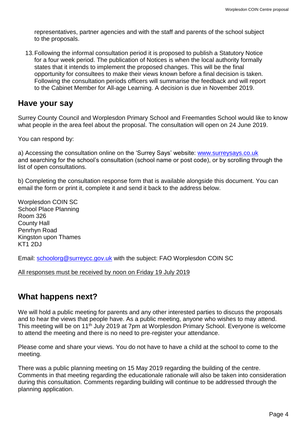representatives, partner agencies and with the staff and parents of the school subject to the proposals.

13.Following the informal consultation period it is proposed to publish a Statutory Notice for a four week period. The publication of Notices is when the local authority formally states that it intends to implement the proposed changes. This will be the final opportunity for consultees to make their views known before a final decision is taken. Following the consultation periods officers will summarise the feedback and will report to the Cabinet Member for All-age Learning. A decision is due in November 2019.

#### **Have your say**

Surrey County Council and Worplesdon Primary School and Freemantles School would like to know what people in the area feel about the proposal. The consultation will open on 24 June 2019.

You can respond by:

a) Accessing the consultation online on the 'Surrey Says' website: [www.surreysays.co.uk](http://www.surreysays.co.uk/) and searching for the school's consultation (school name or post code), or by scrolling through the list of open consultations.

b) Completing the consultation response form that is available alongside this document. You can email the form or print it, complete it and send it back to the address below.

Worplesdon COIN SC School Place Planning Room 326 County Hall Penrhyn Road Kingston upon Thames KT1 2DJ

Email: [schoolorg@surreycc.gov.uk](mailto:schoolorg@surreycc.gov.uk) with the subject: FAO Worplesdon COIN SC

All responses must be received by noon on Friday 19 July 2019

# **What happens next?**

We will hold a public meeting for parents and any other interested parties to discuss the proposals and to hear the views that people have. As a public meeting, anyone who wishes to may attend. This meeting will be on 11th July 2019 at 7pm at Worplesdon Primary School. Everyone is welcome to attend the meeting and there is no need to pre-register your attendance.

Please come and share your views. You do not have to have a child at the school to come to the meeting.

There was a public planning meeting on 15 May 2019 regarding the building of the centre. Comments in that meeting regarding the educationale rationale will also be taken into consideration during this consultation. Comments regarding building will continue to be addressed through the planning application.